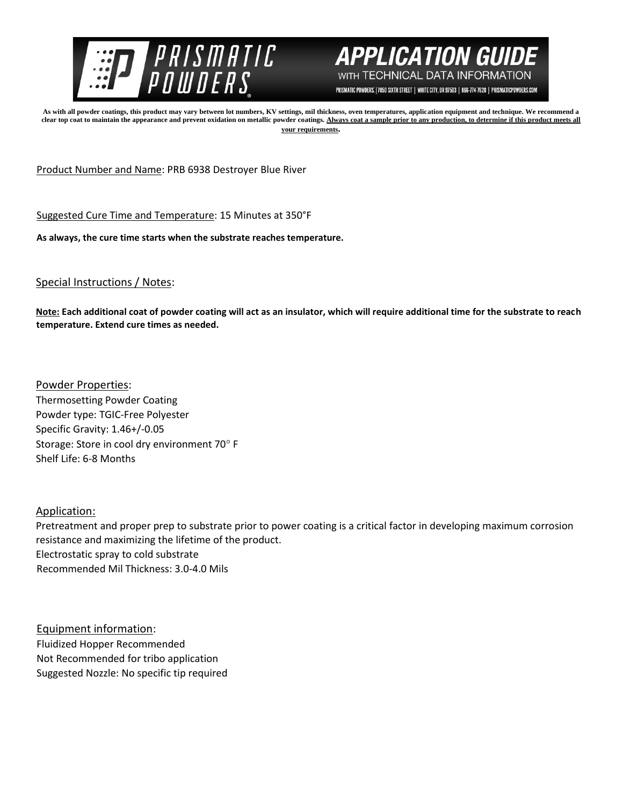



PRISMATIC POWDERS. | 7050 SIXTH STREET | WHITE CITY, OR 97503 | 866-774-7628 | PRISMATICPOWDERS.COM

**As with all powder coatings, this product may vary between lot numbers, KV settings, mil thickness, oven temperatures, application equipment and technique. We recommend a**  clear top coat to maintain the appearance and prevent oxidation on metallic powder coatings. Always coat a sample prior to any production, to determine if this product meets all **your requirements.** 

Product Number and Name: PRB 6938 Destroyer Blue River

Suggested Cure Time and Temperature: 15 Minutes at 350°F

**As always, the cure time starts when the substrate reaches temperature.**

## Special Instructions / Notes:

**Note: Each additional coat of powder coating will act as an insulator, which will require additional time for the substrate to reach temperature. Extend cure times as needed.** 

Powder Properties: Thermosetting Powder Coating Powder type: TGIC-Free Polyester Specific Gravity: 1.46+/-0.05 Storage: Store in cool dry environment 70° F Shelf Life: 6-8 Months

## Application:

Pretreatment and proper prep to substrate prior to power coating is a critical factor in developing maximum corrosion resistance and maximizing the lifetime of the product. Electrostatic spray to cold substrate Recommended Mil Thickness: 3.0-4.0 Mils

Equipment information: Fluidized Hopper Recommended Not Recommended for tribo application Suggested Nozzle: No specific tip required